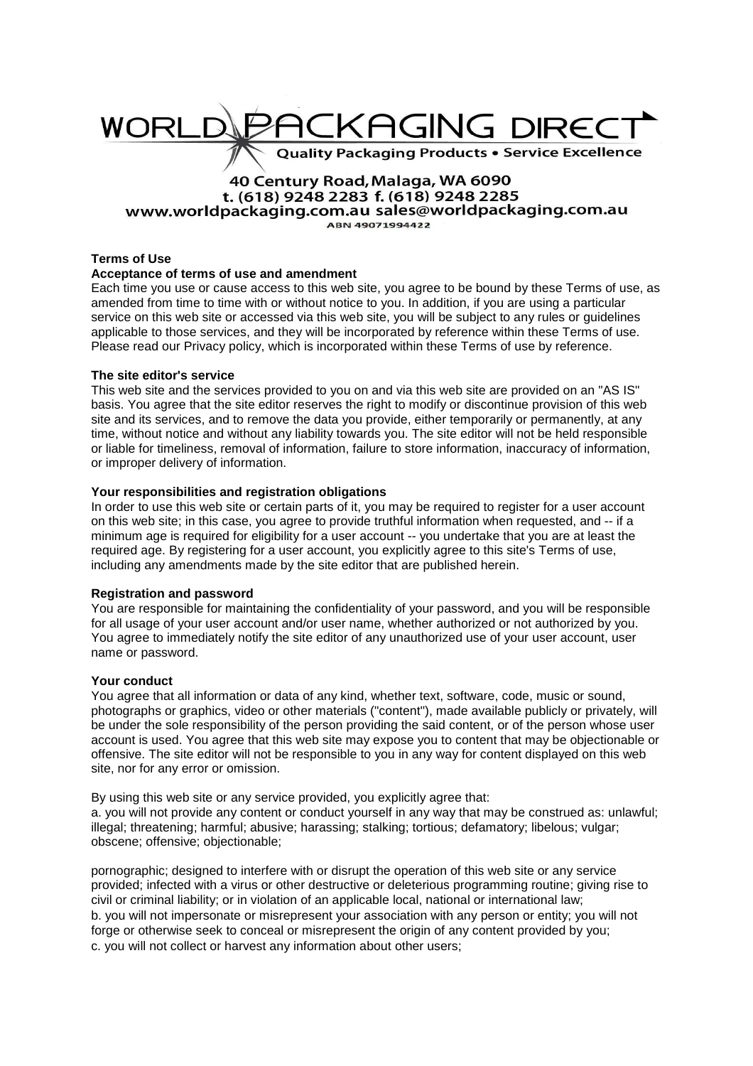# KAGING DIREC WORI **Quality Packaging Products . Service Excellence**

## 40 Century Road, Malaga, WA 6090 t. (618) 9248 2283 f. (618) 9248 2285 www.worldpackaging.com.au sales@worldpackaging.com.au

ABN 49071994422

## **Terms of Use**

### **Acceptance of terms of use and amendment**

Each time you use or cause access to this web site, you agree to be bound by these Terms of use, as amended from time to time with or without notice to you. In addition, if you are using a particular service on this web site or accessed via this web site, you will be subject to any rules or guidelines applicable to those services, and they will be incorporated by reference within these Terms of use. Please read our Privacy policy, which is incorporated within these Terms of use by reference.

### **The site editor's service**

This web site and the services provided to you on and via this web site are provided on an "AS IS" basis. You agree that the site editor reserves the right to modify or discontinue provision of this web site and its services, and to remove the data you provide, either temporarily or permanently, at any time, without notice and without any liability towards you. The site editor will not be held responsible or liable for timeliness, removal of information, failure to store information, inaccuracy of information, or improper delivery of information.

## **Your responsibilities and registration obligations**

In order to use this web site or certain parts of it, you may be required to register for a user account on this web site; in this case, you agree to provide truthful information when requested, and -- if a minimum age is required for eligibility for a user account -- you undertake that you are at least the required age. By registering for a user account, you explicitly agree to this site's Terms of use, including any amendments made by the site editor that are published herein.

### **Registration and password**

You are responsible for maintaining the confidentiality of your password, and you will be responsible for all usage of your user account and/or user name, whether authorized or not authorized by you. You agree to immediately notify the site editor of any unauthorized use of your user account, user name or password.

#### **Your conduct**

You agree that all information or data of any kind, whether text, software, code, music or sound, photographs or graphics, video or other materials ("content"), made available publicly or privately, will be under the sole responsibility of the person providing the said content, or of the person whose user account is used. You agree that this web site may expose you to content that may be objectionable or offensive. The site editor will not be responsible to you in any way for content displayed on this web site, nor for any error or omission.

By using this web site or any service provided, you explicitly agree that:

a. you will not provide any content or conduct yourself in any way that may be construed as: unlawful; illegal; threatening; harmful; abusive; harassing; stalking; tortious; defamatory; libelous; vulgar; obscene; offensive; objectionable;

pornographic; designed to interfere with or disrupt the operation of this web site or any service provided; infected with a virus or other destructive or deleterious programming routine; giving rise to civil or criminal liability; or in violation of an applicable local, national or international law; b. you will not impersonate or misrepresent your association with any person or entity; you will not forge or otherwise seek to conceal or misrepresent the origin of any content provided by you; c. you will not collect or harvest any information about other users;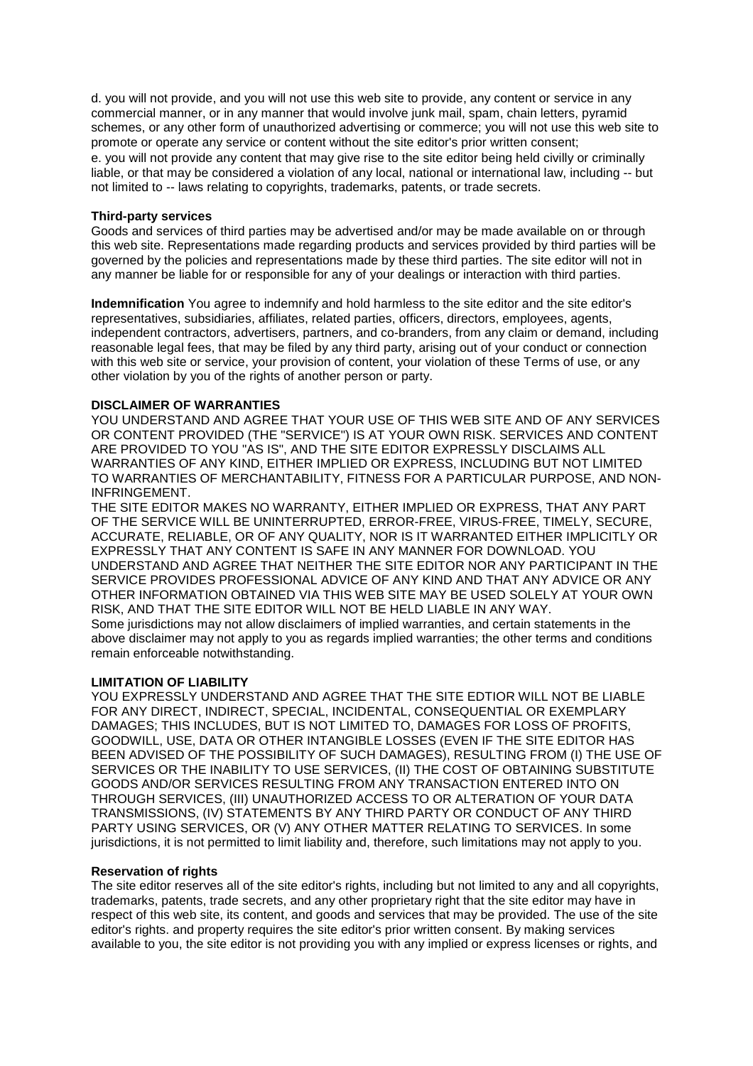d. you will not provide, and you will not use this web site to provide, any content or service in any commercial manner, or in any manner that would involve junk mail, spam, chain letters, pyramid schemes, or any other form of unauthorized advertising or commerce; you will not use this web site to promote or operate any service or content without the site editor's prior written consent;

e. you will not provide any content that may give rise to the site editor being held civilly or criminally liable, or that may be considered a violation of any local, national or international law, including -- but not limited to -- laws relating to copyrights, trademarks, patents, or trade secrets.

#### **Third-party services**

Goods and services of third parties may be advertised and/or may be made available on or through this web site. Representations made regarding products and services provided by third parties will be governed by the policies and representations made by these third parties. The site editor will not in any manner be liable for or responsible for any of your dealings or interaction with third parties.

**Indemnification** You agree to indemnify and hold harmless to the site editor and the site editor's representatives, subsidiaries, affiliates, related parties, officers, directors, employees, agents, independent contractors, advertisers, partners, and co-branders, from any claim or demand, including reasonable legal fees, that may be filed by any third party, arising out of your conduct or connection with this web site or service, your provision of content, your violation of these Terms of use, or any other violation by you of the rights of another person or party.

#### **DISCLAIMER OF WARRANTIES**

YOU UNDERSTAND AND AGREE THAT YOUR USE OF THIS WEB SITE AND OF ANY SERVICES OR CONTENT PROVIDED (THE "SERVICE") IS AT YOUR OWN RISK. SERVICES AND CONTENT ARE PROVIDED TO YOU "AS IS", AND THE SITE EDITOR EXPRESSLY DISCLAIMS ALL WARRANTIES OF ANY KIND, EITHER IMPLIED OR EXPRESS, INCLUDING BUT NOT LIMITED TO WARRANTIES OF MERCHANTABILITY, FITNESS FOR A PARTICULAR PURPOSE, AND NON-INFRINGEMENT.

THE SITE EDITOR MAKES NO WARRANTY, EITHER IMPLIED OR EXPRESS, THAT ANY PART OF THE SERVICE WILL BE UNINTERRUPTED, ERROR-FREE, VIRUS-FREE, TIMELY, SECURE, ACCURATE, RELIABLE, OR OF ANY QUALITY, NOR IS IT WARRANTED EITHER IMPLICITLY OR EXPRESSLY THAT ANY CONTENT IS SAFE IN ANY MANNER FOR DOWNLOAD. YOU UNDERSTAND AND AGREE THAT NEITHER THE SITE EDITOR NOR ANY PARTICIPANT IN THE SERVICE PROVIDES PROFESSIONAL ADVICE OF ANY KIND AND THAT ANY ADVICE OR ANY OTHER INFORMATION OBTAINED VIA THIS WEB SITE MAY BE USED SOLELY AT YOUR OWN RISK, AND THAT THE SITE EDITOR WILL NOT BE HELD LIABLE IN ANY WAY. Some jurisdictions may not allow disclaimers of implied warranties, and certain statements in the above disclaimer may not apply to you as regards implied warranties; the other terms and conditions remain enforceable notwithstanding.

#### **LIMITATION OF LIABILITY**

YOU EXPRESSLY UNDERSTAND AND AGREE THAT THE SITE EDTIOR WILL NOT BE LIABLE FOR ANY DIRECT, INDIRECT, SPECIAL, INCIDENTAL, CONSEQUENTIAL OR EXEMPLARY DAMAGES; THIS INCLUDES, BUT IS NOT LIMITED TO, DAMAGES FOR LOSS OF PROFITS, GOODWILL, USE, DATA OR OTHER INTANGIBLE LOSSES (EVEN IF THE SITE EDITOR HAS BEEN ADVISED OF THE POSSIBILITY OF SUCH DAMAGES), RESULTING FROM (I) THE USE OF SERVICES OR THE INABILITY TO USE SERVICES, (II) THE COST OF OBTAINING SUBSTITUTE GOODS AND/OR SERVICES RESULTING FROM ANY TRANSACTION ENTERED INTO ON THROUGH SERVICES, (III) UNAUTHORIZED ACCESS TO OR ALTERATION OF YOUR DATA TRANSMISSIONS, (IV) STATEMENTS BY ANY THIRD PARTY OR CONDUCT OF ANY THIRD PARTY USING SERVICES, OR (V) ANY OTHER MATTER RELATING TO SERVICES. In some jurisdictions, it is not permitted to limit liability and, therefore, such limitations may not apply to you.

#### **Reservation of rights**

The site editor reserves all of the site editor's rights, including but not limited to any and all copyrights, trademarks, patents, trade secrets, and any other proprietary right that the site editor may have in respect of this web site, its content, and goods and services that may be provided. The use of the site editor's rights. and property requires the site editor's prior written consent. By making services available to you, the site editor is not providing you with any implied or express licenses or rights, and